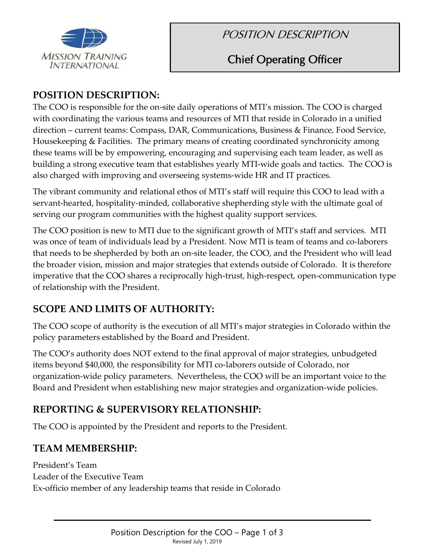

# POSITION DESCRIPTION

# Chief Operating Officer

## **POSITION DESCRIPTION:**

The COO is responsible for the on-site daily operations of MTI's mission. The COO is charged with coordinating the various teams and resources of MTI that reside in Colorado in a unified direction – current teams: Compass, DAR, Communications, Business & Finance, Food Service, Housekeeping & Facilities. The primary means of creating coordinated synchronicity among these teams will be by empowering, encouraging and supervising each team leader, as well as building a strong executive team that establishes yearly MTI-wide goals and tactics. The COO is also charged with improving and overseeing systems-wide HR and IT practices.

The vibrant community and relational ethos of MTI's staff will require this COO to lead with a servant-hearted, hospitality-minded, collaborative shepherding style with the ultimate goal of serving our program communities with the highest quality support services.

The COO position is new to MTI due to the significant growth of MTI's staff and services. MTI was once of team of individuals lead by a President. Now MTI is team of teams and co-laborers that needs to be shepherded by both an on-site leader, the COO, and the President who will lead the broader vision, mission and major strategies that extends outside of Colorado. It is therefore imperative that the COO shares a reciprocally high-trust, high-respect, open-communication type of relationship with the President.

# **SCOPE AND LIMITS OF AUTHORITY:**

The COO scope of authority is the execution of all MTI's major strategies in Colorado within the policy parameters established by the Board and President.

The COO's authority does NOT extend to the final approval of major strategies, unbudgeted items beyond \$40,000, the responsibility for MTI co-laborers outside of Colorado, nor organization-wide policy parameters. Nevertheless, the COO will be an important voice to the Board and President when establishing new major strategies and organization-wide policies.

# **REPORTING & SUPERVISORY RELATIONSHIP:**

The COO is appointed by the President and reports to the President.

# **TEAM MEMBERSHIP:**

President's Team Leader of the Executive Team Ex-officio member of any leadership teams that reside in Colorado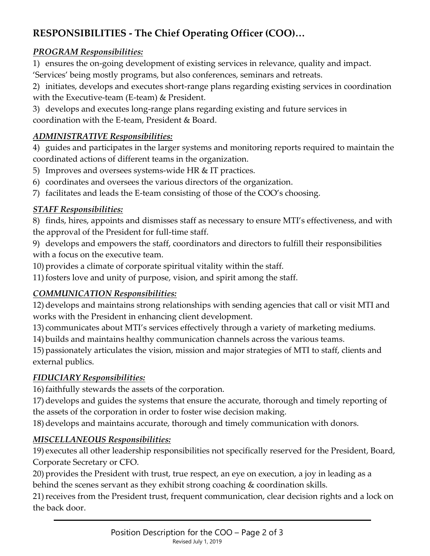# **RESPONSIBILITIES - The Chief Operating Officer (COO)…**

## *PROGRAM Responsibilities:*

1) ensures the on-going development of existing services in relevance, quality and impact.

'Services' being mostly programs, but also conferences, seminars and retreats.

2) initiates, develops and executes short-range plans regarding existing services in coordination with the Executive-team (E-team) & President.

3) develops and executes long-range plans regarding existing and future services in coordination with the E-team, President & Board.

## *ADMINISTRATIVE Responsibilities:*

4) guides and participates in the larger systems and monitoring reports required to maintain the coordinated actions of different teams in the organization.

- 5) Improves and oversees systems-wide HR & IT practices.
- 6) coordinates and oversees the various directors of the organization.
- 7) facilitates and leads the E-team consisting of those of the COO's choosing.

## *STAFF Responsibilities:*

8) finds, hires, appoints and dismisses staff as necessary to ensure MTI's effectiveness, and with the approval of the President for full-time staff.

9) develops and empowers the staff, coordinators and directors to fulfill their responsibilities with a focus on the executive team.

10) provides a climate of corporate spiritual vitality within the staff.

11) fosters love and unity of purpose, vision, and spirit among the staff.

# *COMMUNICATION Responsibilities:*

12) develops and maintains strong relationships with sending agencies that call or visit MTI and works with the President in enhancing client development.

13) communicates about MTI's services effectively through a variety of marketing mediums.

14) builds and maintains healthy communication channels across the various teams.

15) passionately articulates the vision, mission and major strategies of MTI to staff, clients and external publics.

## *FIDUCIARY Responsibilities:*

16) faithfully stewards the assets of the corporation.

17) develops and guides the systems that ensure the accurate, thorough and timely reporting of the assets of the corporation in order to foster wise decision making.

18) develops and maintains accurate, thorough and timely communication with donors.

## *MISCELLANEOUS Responsibilities:*

19) executes all other leadership responsibilities not specifically reserved for the President, Board, Corporate Secretary or CFO.

20) provides the President with trust, true respect, an eye on execution, a joy in leading as a behind the scenes servant as they exhibit strong coaching & coordination skills.

21)receives from the President trust, frequent communication, clear decision rights and a lock on the back door.